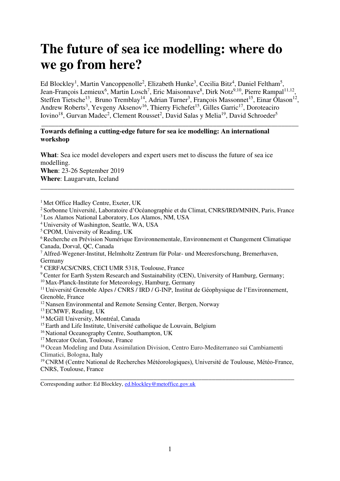# **The future of sea ice modelling: where do we go from here?**

Ed Blockley<sup>1</sup>, Martin Vancoppenolle<sup>2</sup>, Elizabeth Hunke<sup>3</sup>, Cecilia Bitz<sup>4</sup>, Daniel Feltham<sup>5</sup>, Jean-François Lemieux<sup>6</sup>, Martin Losch<sup>7</sup>, Eric Maisonnave<sup>8</sup>, Dirk Notz<sup>9,10</sup>, Pierre Rampal<sup>11,12</sup> , Steffen Tietsche<sup>13</sup>, Bruno Tremblay<sup>14</sup>, Adrian Turner<sup>3</sup>, François Massonnet<sup>15</sup>, Einar Ólason<sup>12</sup>, Andrew Roberts<sup>3</sup>, Yevgeny Aksenov<sup>16</sup>, Thierry Fichefet<sup>15</sup>, Gilles Garric<sup>17</sup>, Doroteaciro Iovino<sup>18</sup>, Gurvan Madec<sup>2</sup>, Clement Rousset<sup>2</sup>, David Salas y Melia<sup>19</sup>, David Schroeder<sup>5</sup>

\_\_\_\_\_\_\_\_\_\_\_\_\_\_\_\_\_\_\_\_\_\_\_\_\_\_\_\_\_\_\_\_\_\_\_\_\_\_\_\_\_\_\_\_\_\_\_\_\_\_\_\_\_\_\_\_\_\_\_\_\_\_\_\_\_\_\_\_\_\_\_\_\_\_\_

#### **Towards defining a cutting-edge future for sea ice modelling: An international workshop**

**What**: Sea ice model developers and expert users met to discuss the future of sea ice modelling.

**When**: 23-26 September 2019 **Where**: Laugarvatn, Iceland

<sup>2</sup> Sorbonne Université, Laboratoire d'Océanographie et du Climat, CNRS/IRD/MNHN, Paris, France

\_\_\_\_\_\_\_\_\_\_\_\_\_\_\_\_\_\_\_\_\_\_\_\_\_\_\_\_\_\_\_\_\_\_\_\_\_\_\_\_\_\_\_\_\_\_\_\_\_\_\_\_\_\_\_\_\_\_\_\_\_\_\_\_\_\_\_\_\_\_\_\_\_\_

<sup>3</sup>Los Alamos National Laboratory, Los Alamos, NM, USA

<sup>4</sup>University of Washington, Seattle, WA, USA

<sup>6</sup>Recherche en Prévision Numérique Environnementale, Environnement et Changement Climatique Canada, Dorval, QC, Canada

<sup>7</sup>Alfred-Wegener-Institut, Helmholtz Zentrum für Polar- und Meeresforschung, Bremerhaven, Germany

8 CERFACS/CNRS, CECI UMR 5318, Toulouse, France

<sup>9</sup> Center for Earth System Research and Sustainability (CEN), University of Hamburg, Germany;

<sup>10</sup> Max-Planck-Institute for Meteorology, Hamburg, Germany

<sup>11</sup> Université Grenoble Alpes / CNRS / IRD / G-INP, Institut de Géophysique de l'Environnement, Grenoble, France

<sup>12</sup> Nansen Environmental and Remote Sensing Center, Bergen, Norway

<sup>13</sup> ECMWF, Reading, UK

<sup>14</sup> McGill University, Montréal, Canada

<sup>15</sup> Earth and Life Institute, Université catholique de Louvain, Belgium

<sup>16</sup> National Oceanography Centre, Southampton, UK

<sup>17</sup> Mercator Océan, Toulouse, France

<sup>18</sup> Ocean Modeling and Data Assimilation Division, Centro Euro-Mediterraneo sui Cambiamenti Climatici, Bologna, Italy

<sup>19</sup> CNRM (Centre National de Recherches Météorologiques), Université de Toulouse, Météo-France, CNRS, Toulouse, France

\_\_\_\_\_\_\_\_\_\_\_\_\_\_\_\_\_\_\_\_\_\_\_\_\_\_\_\_\_\_\_\_\_\_\_\_\_\_\_\_\_\_\_\_\_\_\_\_\_\_\_\_\_\_\_\_\_\_\_\_\_\_\_\_\_\_\_\_\_\_\_\_\_\_

Corresponding author: Ed Blockley, [ed.blockley@metoffice.gov.uk](mailto:ed.blockley@metoffice.gov.uk)

<sup>&</sup>lt;sup>1</sup> Met Office Hadley Centre, Exeter, UK

<sup>&</sup>lt;sup>5</sup> CPOM, University of Reading, UK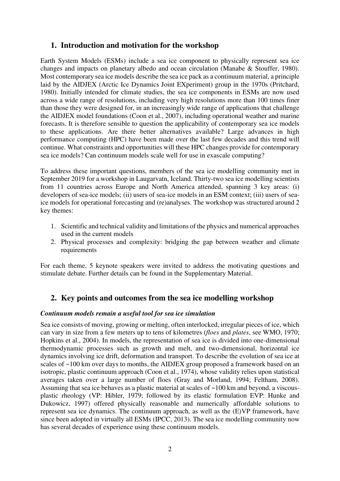# **1. Introduction and motivation for the workshop**

Earth System Models (ESMs) include a sea ice component to physically represent sea ice changes and impacts on planetary albedo and ocean circulation (Manabe & Stouffer, 1980). Most contemporary sea ice models describe the sea ice pack as a continuum material, a principle laid by the AIDJEX (Arctic Ice Dynamics Joint EXperiment) group in the 1970s (Pritchard, 1980). Initially intended for climate studies, the sea ice components in ESMs are now used across a wide range of resolutions, including very high resolutions more than 100 times finer than those they were designed for, in an increasingly wide range of applications that challenge the AIDJEX model foundations (Coon et al., 2007), including operational weather and marine forecasts. It is therefore sensible to question the applicability of contemporary sea ice models to these applications. Are there better alternatives available? Large advances in high performance computing (HPC) have been made over the last few decades and this trend will continue. What constraints and opportunities will these HPC changes provide for contemporary sea ice models? Can continuum models scale well for use in exascale computing?

To address these important questions, members of the sea ice modelling community met in September 2019 for a workshop in Laugarvatn, Iceland. Thirty-two sea ice modelling scientists from 11 countries across Europe and North America attended, spanning 3 key areas: (i) developers of sea-ice models; (ii) users of sea-ice models in an ESM context; (iii) users of seaice models for operational forecasting and (re)analyses. The workshop was structured around 2 key themes:

- 1. Scientific and technical validity and limitations of the physics and numerical approaches used in the current models
- 2. Physical processes and complexity: bridging the gap between weather and climate requirements

For each theme, 5 keynote speakers were invited to address the motivating questions and stimulate debate. Further details can be found in the Supplementary Material.

# **2. Key points and outcomes from the sea ice modelling workshop**

## *Continuum models remain a useful tool for sea ice simulation*

Sea ice consists of moving, growing or melting, often interlocked, irregular pieces of ice, which can vary in size from a few meters up to tens of kilometres (*floes* and *plates*, see WMO, 1970; Hopkins et al., 2004). In models, the representation of sea ice is divided into one-dimensional thermodynamic processes such as growth and melt, and two-dimensional, horizontal ice dynamics involving ice drift, deformation and transport. To describe the evolution of sea ice at scales of ~100 km over days to months, the AIDJEX group proposed a framework based on an isotropic, plastic continuum approach (Coon et al., 1974), whose validity relies upon statistical averages taken over a large number of floes (Gray and Morland, 1994; Feltham, 2008). Assuming that sea ice behaves as a plastic material at scales of ~100 km and beyond, a viscousplastic rheology (VP: Hibler, 1979; followed by its elastic formulation EVP: Hunke and Dukowicz, 1997) offered physically reasonable and numerically affordable solutions to represent sea ice dynamics. The continuum approach, as well as the (E)VP framework, have since been adopted in virtually all ESMs (IPCC, 2013). The sea ice modelling community now has several decades of experience using these continuum models.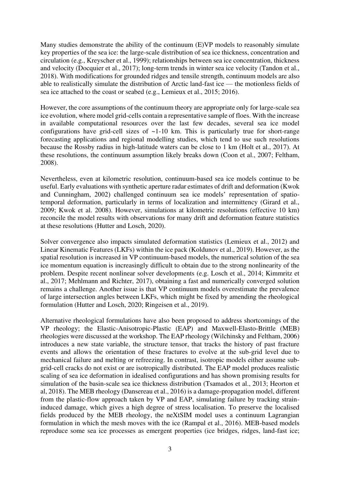Many studies demonstrate the ability of the continuum (E)VP models to reasonably simulate key properties of the sea ice: the large-scale distribution of sea ice thickness, concentration and circulation (e.g., Kreyscher et al., 1999); relationships between sea ice concentration, thickness and velocity (Docquier et al., 2017); long-term trends in winter sea ice velocity (Tandon et al., 2018). With modifications for grounded ridges and tensile strength, continuum models are also able to realistically simulate the distribution of Arctic land-fast ice — the motionless fields of sea ice attached to the coast or seabed (e.g., Lemieux et al., 2015; 2016).

However, the core assumptions of the continuum theory are appropriate only for large-scale sea ice evolution, where model grid-cells contain a representative sample of floes. With the increase in available computational resources over the last few decades, several sea ice model configurations have grid-cell sizes of  $\sim$ 1-10 km. This is particularly true for short-range forecasting applications and regional modelling studies, which tend to use such resolutions because the Rossby radius in high-latitude waters can be close to 1 km (Holt et al., 2017). At these resolutions, the continuum assumption likely breaks down (Coon et al., 2007; Feltham, 2008).

Nevertheless, even at kilometric resolution, continuum-based sea ice models continue to be useful. Early evaluations with synthetic aperture radar estimates of drift and deformation (Kwok and Cunningham, 2002) challenged continuum sea ice models' representation of spatiotemporal deformation, particularly in terms of localization and intermittency (Girard et al., 2009; Kwok et al. 2008). However, simulations at kilometric resolutions (effective 10 km) reconcile the model results with observations for many drift and deformation feature statistics at these resolutions (Hutter and Losch, 2020).

Solver convergence also impacts simulated deformation statistics (Lemieux et al., 2012) and Linear Kinematic Features (LKFs) within the ice pack (Koldunov et al., 2019). However, as the spatial resolution is increased in VP continuum-based models, the numerical solution of the sea ice momentum equation is increasingly difficult to obtain due to the strong nonlinearity of the problem. Despite recent nonlinear solver developments (e.g. Losch et al., 2014; Kimmritz et al., 2017; Mehlmann and Richter, 2017), obtaining a fast and numerically converged solution remains a challenge. Another issue is that VP continuum models overestimate the prevalence of large intersection angles between LKFs, which might be fixed by amending the rheological formulation (Hutter and Losch, 2020; Ringeisen et al., 2019).

Alternative rheological formulations have also been proposed to address shortcomings of the VP rheology; the Elastic-Anisotropic-Plastic (EAP) and Maxwell-Elasto-Brittle (MEB) rheologies were discussed at the workshop. The EAP rheology (Wilchinsky and Feltham, 2006) introduces a new state variable, the structure tensor, that tracks the history of past fracture events and allows the orientation of these fractures to evolve at the sub-grid level due to mechanical failure and melting or refreezing. In contrast, isotropic models either assume subgrid-cell cracks do not exist or are isotropically distributed. The EAP model produces realistic scaling of sea ice deformation in idealised configurations and has shown promising results for simulation of the basin-scale sea ice thickness distribution (Tsamados et al., 2013; Heorton et al, 2018). The MEB rheology (Dansereau et al., 2016) is a damage-propagation model, different from the plastic-flow approach taken by VP and EAP, simulating failure by tracking straininduced damage, which gives a high degree of stress localisation. To preserve the localised fields produced by the MEB rheology, the neXtSIM model uses a continuum Lagrangian formulation in which the mesh moves with the ice (Rampal et al., 2016). MEB-based models reproduce some sea ice processes as emergent properties (ice bridges, ridges, land-fast ice;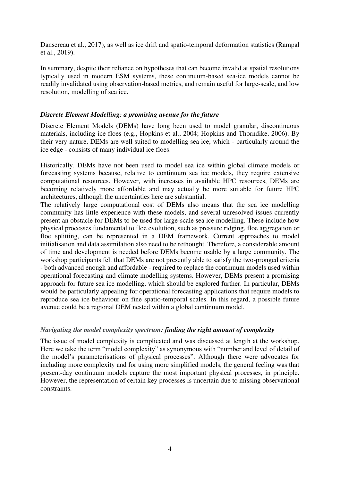Dansereau et al., 2017), as well as ice drift and spatio-temporal deformation statistics (Rampal et al., 2019).

In summary, despite their reliance on hypotheses that can become invalid at spatial resolutions typically used in modern ESM systems, these continuum-based sea-ice models cannot be readily invalidated using observation-based metrics, and remain useful for large-scale, and low resolution, modelling of sea ice.

## *Discrete Element Modelling: a promising avenue for the future*

Discrete Element Models (DEMs) have long been used to model granular, discontinuous materials, including ice floes (e.g., Hopkins et al., 2004; Hopkins and Thorndike, 2006). By their very nature, DEMs are well suited to modelling sea ice, which - particularly around the ice edge - consists of many individual ice floes.

Historically, DEMs have not been used to model sea ice within global climate models or forecasting systems because, relative to continuum sea ice models, they require extensive computational resources. However, with increases in available HPC resources, DEMs are becoming relatively more affordable and may actually be more suitable for future HPC architectures, although the uncertainties here are substantial.

The relatively large computational cost of DEMs also means that the sea ice modelling community has little experience with these models, and several unresolved issues currently present an obstacle for DEMs to be used for large-scale sea ice modelling. These include how physical processes fundamental to floe evolution, such as pressure ridging, floe aggregation or floe splitting, can be represented in a DEM framework. Current approaches to model initialisation and data assimilation also need to be rethought. Therefore, a considerable amount of time and development is needed before DEMs become usable by a large community. The workshop participants felt that DEMs are not presently able to satisfy the two-pronged criteria - both advanced enough and affordable - required to replace the continuum models used within operational forecasting and climate modelling systems. However, DEMs present a promising approach for future sea ice modelling, which should be explored further. In particular, DEMs would be particularly appealing for operational forecasting applications that require models to reproduce sea ice behaviour on fine spatio-temporal scales. In this regard, a possible future avenue could be a regional DEM nested within a global continuum model.

## *Navigating the model complexity spectrum: finding the right amount of complexity*

The issue of model complexity is complicated and was discussed at length at the workshop. Here we take the term "model complexity" as synonymous with "number and level of detail of the model's parameterisations of physical processes". Although there were advocates for including more complexity and for using more simplified models, the general feeling was that present-day continuum models capture the most important physical processes, in principle. However, the representation of certain key processes is uncertain due to missing observational constraints.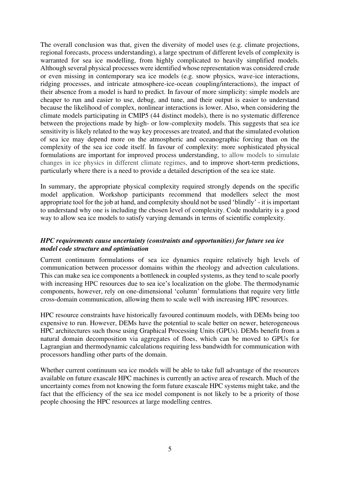The overall conclusion was that, given the diversity of model uses (e.g. climate projections, regional forecasts, process understanding), a large spectrum of different levels of complexity is warranted for sea ice modelling, from highly complicated to heavily simplified models. Although several physical processes were identified whose representation was considered crude or even missing in contemporary sea ice models (e.g. snow physics, wave-ice interactions, ridging processes, and intricate atmosphere-ice-ocean coupling/interactions), the impact of their absence from a model is hard to predict. In favour of more simplicity: simple models are cheaper to run and easier to use, debug, and tune, and their output is easier to understand because the likelihood of complex, nonlinear interactions is lower. Also, when considering the climate models participating in CMIP5 (44 distinct models), there is no systematic difference between the projections made by high- or low-complexity models. This suggests that sea ice sensitivity is likely related to the way key processes are treated, and that the simulated evolution of sea ice may depend more on the atmospheric and oceanographic forcing than on the complexity of the sea ice code itself. In favour of complexity: more sophisticated physical formulations are important for improved process understanding, to allow models to simulate changes in ice physics in different climate regimes, and to improve short-term predictions, particularly where there is a need to provide a detailed description of the sea ice state.

In summary, the appropriate physical complexity required strongly depends on the specific model application. Workshop participants recommend that modellers select the most appropriate tool for the job at hand, and complexity should not be used 'blindly' - it is important to understand why one is including the chosen level of complexity. Code modularity is a good way to allow sea ice models to satisfy varying demands in terms of scientific complexity.

#### *HPC requirements cause uncertainty (constraints and opportunities) for future sea ice model code structure and optimisation*

Current continuum formulations of sea ice dynamics require relatively high levels of communication between processor domains within the rheology and advection calculations. This can make sea ice components a bottleneck in coupled systems, as they tend to scale poorly with increasing HPC resources due to sea ice's localization on the globe. The thermodynamic components, however, rely on one-dimensional 'column' formulations that require very little cross-domain communication, allowing them to scale well with increasing HPC resources.

HPC resource constraints have historically favoured continuum models, with DEMs being too expensive to run. However, DEMs have the potential to scale better on newer, heterogeneous HPC architectures such those using Graphical Processing Units (GPUs). DEMs benefit from a natural domain decomposition via aggregates of floes, which can be moved to GPUs for Lagrangian and thermodynamic calculations requiring less bandwidth for communication with processors handling other parts of the domain.

Whether current continuum sea ice models will be able to take full advantage of the resources available on future exascale HPC machines is currently an active area of research. Much of the uncertainty comes from not knowing the form future exascale HPC systems might take, and the fact that the efficiency of the sea ice model component is not likely to be a priority of those people choosing the HPC resources at large modelling centres.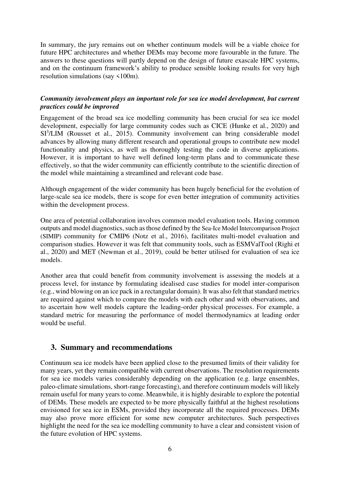In summary, the jury remains out on whether continuum models will be a viable choice for future HPC architectures and whether DEMs may become more favourable in the future. The answers to these questions will partly depend on the design of future exascale HPC systems, and on the continuum framework's ability to produce sensible looking results for very high resolution simulations (say <100m).

### *Community involvement plays an important role for sea ice model development, but current practices could be improved*

Engagement of the broad sea ice modelling community has been crucial for sea ice model development, especially for large community codes such as CICE (Hunke et al., 2020) and SI<sup>3</sup>/LIM (Rousset et al., 2015). Community involvement can bring considerable model advances by allowing many different research and operational groups to contribute new model functionality and physics, as well as thoroughly testing the code in diverse applications. However, it is important to have well defined long-term plans and to communicate these effectively, so that the wider community can efficiently contribute to the scientific direction of the model while maintaining a streamlined and relevant code base.

Although engagement of the wider community has been hugely beneficial for the evolution of large-scale sea ice models, there is scope for even better integration of community activities within the development process.

One area of potential collaboration involves common model evaluation tools. Having common outputs and model diagnostics, such as those defined by the Sea-Ice Model Intercomparison Project (SIMIP) community for CMIP6 (Notz et al., 2016), facilitates multi-model evaluation and comparison studies. However it was felt that community tools, such as ESMValTool (Righi et al., 2020) and MET (Newman et al., 2019), could be better utilised for evaluation of sea ice models.

Another area that could benefit from community involvement is assessing the models at a process level, for instance by formulating idealised case studies for model inter-comparison (e.g., wind blowing on an ice pack in a rectangular domain). It was also felt that standard metrics are required against which to compare the models with each other and with observations, and to ascertain how well models capture the leading-order physical processes. For example, a standard metric for measuring the performance of model thermodynamics at leading order would be useful.

# **3. Summary and recommendations**

Continuum sea ice models have been applied close to the presumed limits of their validity for many years, yet they remain compatible with current observations. The resolution requirements for sea ice models varies considerably depending on the application (e.g. large ensembles, paleo-climate simulations, short-range forecasting), and therefore continuum models will likely remain useful for many years to come. Meanwhile, it is highly desirable to explore the potential of DEMs. These models are expected to be more physically faithful at the highest resolutions envisioned for sea ice in ESMs, provided they incorporate all the required processes. DEMs may also prove more efficient for some new computer architectures. Such perspectives highlight the need for the sea ice modelling community to have a clear and consistent vision of the future evolution of HPC systems.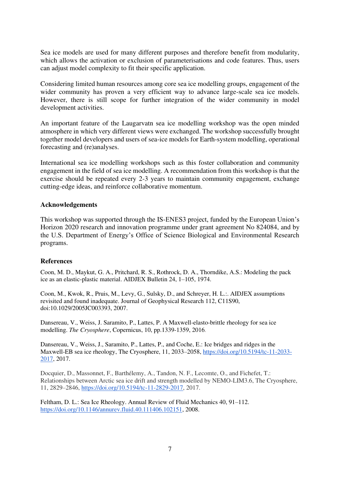Sea ice models are used for many different purposes and therefore benefit from modularity, which allows the activation or exclusion of parameterisations and code features. Thus, users can adjust model complexity to fit their specific application.

Considering limited human resources among core sea ice modelling groups, engagement of the wider community has proven a very efficient way to advance large-scale sea ice models. However, there is still scope for further integration of the wider community in model development activities.

An important feature of the Laugarvatn sea ice modelling workshop was the open minded atmosphere in which very different views were exchanged. The workshop successfully brought together model developers and users of sea-ice models for Earth-system modelling, operational forecasting and (re)analyses.

International sea ice modelling workshops such as this foster collaboration and community engagement in the field of sea ice modelling. A recommendation from this workshop is that the exercise should be repeated every 2-3 years to maintain community engagement, exchange cutting-edge ideas, and reinforce collaborative momentum.

#### **Acknowledgements**

This workshop was supported through the IS-ENES3 project, funded by the European Union's Horizon 2020 research and innovation programme under grant agreement No 824084, and by the U.S. Department of Energy's Office of Science Biological and Environmental Research programs.

#### **References**

Coon, M. D., Maykut, G. A., Pritchard, R. S., Rothrock, D. A., Thorndike, A.S.: Modeling the pack ice as an elastic-plastic material. AIDJEX Bulletin 24, 1–105, 1974.

Coon, M., Kwok, R., Pruis, M., Levy, G., Sulsky, D., and Schreyer, H. L.:. AIDJEX assumptions revisited and found inadequate. Journal of Geophysical Research 112, C11S90, doi:10.1029/2005JC003393, 2007.

Dansereau, V., Weiss, J. Saramito, P., Lattes, P. A Maxwell-elasto-brittle rheology for sea ice modelling. *The Cryosphere*, Copernicus, 10, pp.1339-1359, 2016.

Dansereau, V., Weiss, J., Saramito, P., Lattes, P., and Coche, E.: Ice bridges and ridges in the Maxwell-EB sea ice rheology, The Cryosphere, 11, 2033–2058, [https://doi.org/10.5194/tc-11-2033-](https://doi.org/10.5194/tc-11-2033-2017) [2017,](https://doi.org/10.5194/tc-11-2033-2017) 2017.

Docquier, D., Massonnet, F., Barthélemy, A., Tandon, N. F., Lecomte, O., and Fichefet, T.: Relationships between Arctic sea ice drift and strength modelled by NEMO-LIM3.6, The Cryosphere, 11, 2829–2846, [https://doi.org/10.5194/tc-11-2829-2017,](https://doi.org/10.5194/tc-11-2829-2017) 2017.

Feltham, D. L.: Sea Ice Rheology. Annual Review of Fluid Mechanics 40, 91–112. [https://doi.org/10.1146/annurev.fluid.40.111406.102151,](https://doi.org/10.1146/annurev.fluid.40.111406.102151) 2008.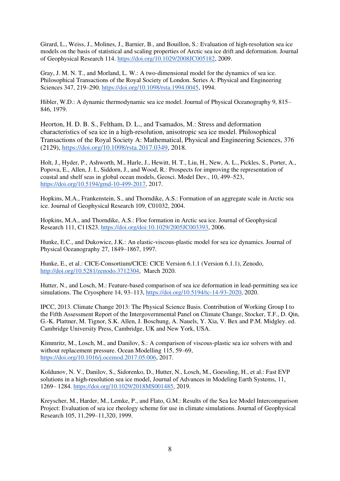Girard, L., Weiss, J., Molines, J., Barnier, B., and Bouillon, S.: Evaluation of high-resolution sea ice models on the basis of statistical and scaling properties of Arctic sea ice drift and deformation. Journal of Geophysical Research 114. [https://doi.org/10.1029/2008JC005182,](https://doi.org/10.1029/2008JC005182) 2009.

Gray, J. M. N. T., and Morland, L. W.: A two-dimensional model for the dynamics of sea ice. Philosophical Transactions of the Royal Society of London. Series A: Physical and Engineering Sciences 347, 219–290. [https://doi.org/10.1098/rsta.1994.0045,](https://doi.org/10.1098/rsta.1994.0045) 1994.

Hibler, W.D.: A dynamic thermodynamic sea ice model. Journal of Physical Oceanography 9, 815– 846, 1979.

Heorton, H. D. B. S., Feltham, D. L., and Tsamados, M.: Stress and deformation characteristics of sea ice in a high-resolution, anisotropic sea ice model. Philosophical Transactions of the Royal Society A: Mathematical, Physical and Engineering Sciences, 376 (2129), [https://doi.org/10.1098/rsta.2017.0349,](https://doi.org/10.1098/rsta.2017.0349) 2018.

Holt, J., Hyder, P., Ashworth, M., Harle, J., Hewitt, H. T., Liu, H., New, A. L., Pickles, S., Porter, A., Popova, E., Allen, J. I., Siddorn, J., and Wood, R.: Prospects for improving the representation of coastal and shelf seas in global ocean models, Geosci. Model Dev., 10, 499–523, [https://doi.org/10.5194/gmd-10-499-2017,](https://doi.org/10.5194/gmd-10-499-2017) 2017.

Hopkins, M.A., Frankenstein, S., and Thorndike, A.S.: Formation of an aggregate scale in Arctic sea ice. Journal of Geophysical Research 109, C01032, 2004.

Hopkins, M.A., and Thorndike, A.S.: Floe formation in Arctic sea ice. Journal of Geophysical Research 111, C11S23. [https://doi.org/doi:10.1029/2005JC003393,](https://doi.org/doi:10.1029/2005JC003393) 2006.

Hunke, E.C., and Dukowicz, J.K.: An elastic-viscous-plastic model for sea ice dynamics. Journal of Physical Oceanography 27, 1849–1867, 1997.

Hunke, E., et al.: CICE-Consortium/CICE: CICE Version 6.1.1 (Version 6.1.1), Zenodo, [http://doi.org/10.5281/zenodo.3712304,](http://doi.org/10.5281/zenodo.3712304) March 2020.

Hutter, N., and Losch, M.: Feature-based comparison of sea ice deformation in lead-permitting sea ice simulations. The Cryosphere 14, 93–113, [https://doi.org/10.5194/tc-14-93-2020,](https://doi.org/10.5194/tc-14-93-2020) 2020.

IPCC, 2013. Climate Change 2013: The Physical Science Basis. Contribution of Working Group I to the Fifth Assessment Report of the Intergovernmental Panel on Climate Change, Stocker, T.F., D. Qin, G.-K. Plattner, M. Tignor, S.K. Allen, J. Boschung, A. Nauels, Y. Xia, V. Bex and P.M. Midgley. ed. Cambridge University Press, Cambridge, UK and New York, USA.

Kimmritz, M., Losch, M., and Danilov, S.: A comparison of viscous-plastic sea ice solvers with and without replacement pressure. Ocean Modelling 115, 59–69, [https://doi.org/10.1016/j.ocemod.2017.05.006,](https://doi.org/10.1016/j.ocemod.2017.05.006) 2017.

Koldunov, N. V., Danilov, S., Sidorenko, D., Hutter, N., Losch, M., Goessling, H., et al.: Fast EVP solutions in a high-resolution sea ice model, Journal of Advances in Modeling Earth Systems, 11, 1269– 1284. [https://doi.org/10.1029/2018MS001485,](https://doi.org/10.1029/2018MS001485) 2019.

Kreyscher, M., Harder, M., Lemke, P., and Flato, G.M.: Results of the Sea Ice Model Intercomparison Project: Evaluation of sea ice rheology scheme for use in climate simulations. Journal of Geophysical Research 105, 11,299–11,320, 1999.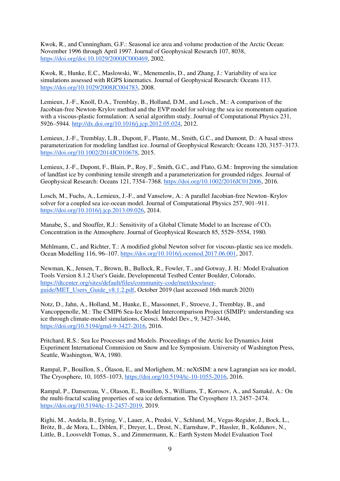Kwok, R., and Cunningham, G.F.: Seasonal ice area and volume production of the Arctic Ocean: November 1996 through April 1997. Journal of Geophysical Research 107, 8038, [https://doi.org/doi:10.1029/2000JC000469,](https://doi.org/doi:10.1029/2000JC000469) 2002.

Kwok, R., Hunke, E.C., Maslowski, W., Menemenlis, D., and Zhang, J.: Variability of sea ice simulations assessed with RGPS kinematics. Journal of Geophysical Research: Oceans 113. [https://doi.org/10.1029/2008JC004783,](https://doi.org/10.1029/2008JC004783) 2008.

Lemieux, J.-F., Knoll, D.A., Tremblay, B., Holland, D.M., and Losch., M.: A comparison of the Jacobian-free Newton-Krylov method and the EVP model for solving the sea ice momentum equation with a viscous-plastic formulation: A serial algorithm study. Journal of Computational Physics 231, 5926–5944. [http://dx.doi.org/10.1016/j.jcp.2012.05.024,](http://dx.doi.org/10.1016/j.jcp.2012.05.024) 2012.

Lemieux, J.-F., Tremblay, L.B., Dupont, F., Plante, M., Smith, G.C., and Dumont, D.: A basal stress parameterization for modeling landfast ice. Journal of Geophysical Research: Oceans 120, 3157–3173. [https://doi.org/10.1002/2014JC010678,](https://doi.org/10.1002/2014JC010678) 2015.

Lemieux, J.-F., Dupont, F., Blain, P., Roy, F., Smith, G.C., and Flato, G.M.: Improving the simulation of landfast ice by combining tensile strength and a parameterization for grounded ridges. Journal of Geophysical Research: Oceans 121, 7354–7368. [https://doi.org/10.1002/2016JC012006,](https://doi.org/10.1002/2016JC012006) 2016.

Losch, M., Fuchs, A., Lemieux, J.-F., and Vanselow, A.: A parallel Jacobian-free Newton–Krylov solver for a coupled sea ice-ocean model. Journal of Computational Physics 257, 901–911. [https://doi.org/10.1016/j.jcp.2013.09.026,](https://doi.org/10.1016/j.jcp.2013.09.026) 2014.

Manabe, S., and Stouffer, R.J.: Sensitivity of a Global Climate Model to an Increase of CO<sub>2</sub> Concentration in the Atmosphere. Journal of Geophysical Research 85, 5529–5554, 1980.

Mehlmann, C., and Richter, T.: A modified global Newton solver for viscous-plastic sea ice models. Ocean Modelling 116, 96–107. [https://doi.org/10.1016/j.ocemod.2017.06.001,](https://doi.org/10.1016/j.ocemod.2017.06.001) 2017.

Newman, K., Jensen, T., Brown, B., Bullock, R., Fowler, T., and Gotway, J. H.: Model Evaluation Tools Version 8.1.2 User's Guide, Developmental Testbed Center Boulder, Colorado, [https://dtcenter.org/sites/default/files/community-code/met/docs/user](https://dtcenter.org/sites/default/files/community-code/met/docs/user-guide/MET_Users_Guide_v8.1.2.pdf)[guide/MET\\_Users\\_Guide\\_v8.1.2.pdf,](https://dtcenter.org/sites/default/files/community-code/met/docs/user-guide/MET_Users_Guide_v8.1.2.pdf) October 2019 (last accessed 16th march 2020)

Notz, D., Jahn, A., Holland, M., Hunke, E., Massonnet, F., Stroeve, J., Tremblay, B., and Vancoppenolle, M.: The CMIP6 Sea-Ice Model Intercomparison Project (SIMIP): understanding sea ice through climate-model simulations, Geosci. Model Dev., 9, 3427–3446, [https://doi.org/10.5194/gmd-9-3427-2016,](https://doi.org/10.5194/gmd-9-3427-2016) 2016.

Pritchard, R.S.: Sea Ice Processes and Models. Proceedings of the Arctic Ice Dynamics Joint Experiment International Commision on Snow and Ice Symposium. University of Washington Press, Seattle, Washington, WA, 1980.

Rampal, P., Bouillon, S., Ólason, E., and Morlighem, M.: neXtSIM: a new Lagrangian sea ice model, The Cryosphere, 10, 1055–1073, [https://doi.org/10.5194/tc-10-1055-2016,](https://doi.org/10.5194/tc-10-1055-2016) 2016.

Rampal, P., Dansereau, V., Olason, E., Bouillon, S., Williams, T., Korosov, A., and Samaké, A.: On the multi-fractal scaling properties of sea ice deformation. The Cryosphere 13, 2457–2474. [https://doi.org/10.5194/tc-13-2457-2019,](https://doi.org/10.5194/tc-13-2457-2019) 2019.

Righi, M., Andela, B., Eyring, V., Lauer, A., Predoi, V., Schlund, M., Vegas-Regidor, J., Bock, L., Brötz, B., de Mora, L., Diblen, F., Dreyer, L., Drost, N., Earnshaw, P., Hassler, B., Koldunov, N., Little, B., Loosveldt Tomas, S., and Zimmermann, K.: Earth System Model Evaluation Tool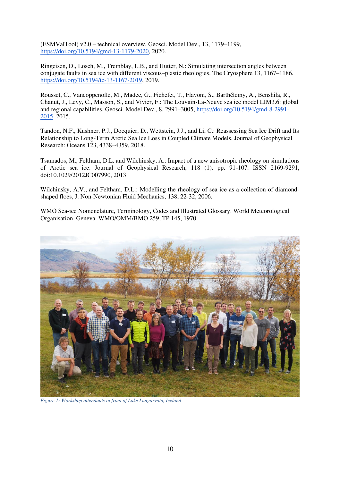(ESMValTool) v2.0 – technical overview, Geosci. Model Dev., 13, 1179–1199, [https://doi.org/10.5194/gmd-13-1179-2020,](https://doi.org/10.5194/gmd-13-1179-2020) 2020.

Ringeisen, D., Losch, M., Tremblay, L.B., and Hutter, N.: Simulating intersection angles between conjugate faults in sea ice with different viscous–plastic rheologies. The Cryosphere 13, 1167–1186. [https://doi.org/10.5194/tc-13-1167-2019,](https://doi.org/10.5194/tc-13-1167-2019) 2019.

Rousset, C., Vancoppenolle, M., Madec, G., Fichefet, T., Flavoni, S., Barthélemy, A., Benshila, R., Chanut, J., Levy, C., Masson, S., and Vivier, F.: The Louvain-La-Neuve sea ice model LIM3.6: global and regional capabilities, Geosci. Model Dev., 8, 2991–3005, [https://doi.org/10.5194/gmd-8-2991-](https://doi.org/10.5194/gmd-8-2991-2015) [2015,](https://doi.org/10.5194/gmd-8-2991-2015) 2015.

Tandon, N.F., Kushner, P.J., Docquier, D., Wettstein, J.J., and Li, C.: Reassessing Sea Ice Drift and Its Relationship to Long-Term Arctic Sea Ice Loss in Coupled Climate Models. Journal of Geophysical Research: Oceans 123, 4338–4359, 2018.

Tsamados, M., Feltham, D.L. and Wilchinsky, A.: Impact of a new anisotropic rheology on simulations of Arctic sea ice. Journal of Geophysical Research, 118 (1). pp. 91-107. ISSN 2169-9291, doi:10.1029/2012JC007990, 2013.

Wilchinsky, A.V., and Feltham, D.L.: Modelling the rheology of sea ice as a collection of diamondshaped floes, J. Non-Newtonian Fluid Mechanics, 138, 22-32, 2006.

WMO Sea-ice Nomenclature, Terminology, Codes and Illustrated Glossary. World Meteorological Organisation, Geneva. WMO/OMM/BMO 259, TP 145, 1970.



*Figure 1: Workshop attendants in front of Lake Laugarvatn, Iceland*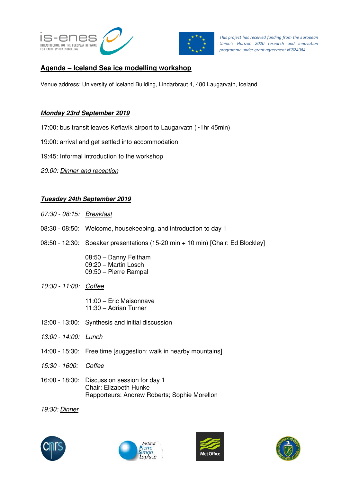



*This project has received funding from the European Union's Horizon 2020 research and innovation programme under grant agreement N°824084* 

# **Agenda – Iceland Sea ice modelling workshop**

Venue address: University of Iceland Building, Lindarbraut 4, 480 Laugarvatn, Iceland

### **Monday 23rd September 2019**

- 17:00: bus transit leaves Keflavik airport to Laugarvatn (~1hr 45min)
- 19:00: arrival and get settled into accommodation
- 19:45: Informal introduction to the workshop
- *20.00: Dinner and reception*

### **Tuesday 24th September 2019**

- *07:30 08:15: Breakfast*
- 08:30 08:50: Welcome, housekeeping, and introduction to day 1
- 08:50 12:30: Speaker presentations (15-20 min + 10 min) [Chair: Ed Blockley]

 08:50 – Danny Feltham 09:20 – Martin Losch 09:50 – Pierre Rampal

*10:30 - 11:00: Coffee* 

 11:00 – Eric Maisonnave 11:30 – Adrian Turner

- 12:00 13:00: Synthesis and initial discussion
- *13:00 14:00: Lunch*
- 14:00 15:30: Free time [suggestion: walk in nearby mountains]
- *15:30 1600: Coffee*
- 16:00 18:30: Discussion session for day 1 Chair: Elizabeth Hunke Rapporteurs: Andrew Roberts; Sophie Morellon

*19:30: Dinner* 







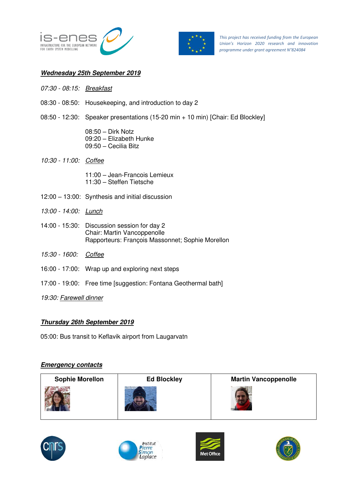



*This project has received funding from the European Union's Horizon 2020 research and innovation programme under grant agreement N°824084* 

#### **Wednesday 25th September 2019**

- *07:30 08:15: Breakfast*
- 08:30 08:50: Housekeeping, and introduction to day 2
- 08:50 12:30: Speaker presentations (15-20 min + 10 min) [Chair: Ed Blockley]
	- 08:50 Dirk Notz 09:20 – Elizabeth Hunke 09:50 – Cecilia Bitz
- *10:30 11:00: Coffee* 
	- 11:00 Jean-Francois Lemieux 11:30 – Steffen Tietsche
- 12:00 13:00: Synthesis and initial discussion
- *13:00 14:00: Lunch*
- 14:00 15:30: Discussion session for day 2 Chair: Martin Vancoppenolle Rapporteurs: François Massonnet; Sophie Morellon
- *15:30 1600: Coffee*
- 16:00 17:00: Wrap up and exploring next steps
- 17:00 19:00: Free time [suggestion: Fontana Geothermal bath]

*19:30: Farewell dinner* 

## **Thursday 26th September 2019**

05:00: Bus transit to Keflavik airport from Laugarvatn

#### **Emergency contacts**

| <b>Sophie Morellon</b> | <b>Ed Blockley</b> | <b>Martin Vancoppenolle</b> |
|------------------------|--------------------|-----------------------------|
|                        |                    |                             |







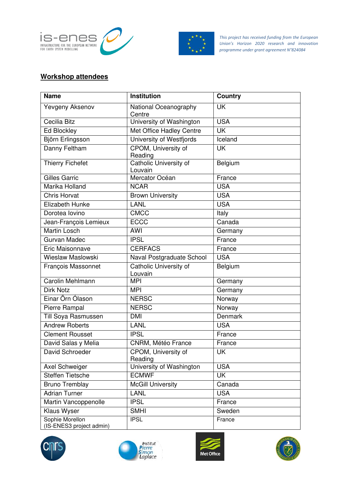



*This project has received funding from the European Union's Horizon 2020 research and innovation programme under grant agreement N°824084* 

# **Workshop attendees**

| <b>Name</b>                                 | <b>Institution</b>                | <b>Country</b> |
|---------------------------------------------|-----------------------------------|----------------|
| Yevgeny Aksenov                             | National Oceanography<br>Centre   | <b>UK</b>      |
| Cecilia Bitz                                | University of Washington          | <b>USA</b>     |
| <b>Ed Blockley</b>                          | Met Office Hadley Centre          | <b>UK</b>      |
| Björn Erlingsson                            | University of Westfjords          | Iceland        |
| Danny Feltham                               | CPOM, University of<br>Reading    | <b>UK</b>      |
| <b>Thierry Fichefet</b>                     | Catholic University of<br>Louvain | Belgium        |
| <b>Gilles Garric</b>                        | Mercator Océan                    | France         |
| Marika Holland                              | <b>NCAR</b>                       | <b>USA</b>     |
| <b>Chris Horvat</b>                         | <b>Brown University</b>           | <b>USA</b>     |
| Elizabeth Hunke                             | <b>LANL</b>                       | <b>USA</b>     |
| Dorotea Iovino                              | <b>CMCC</b>                       | Italy          |
| Jean-François Lemieux                       | <b>ECCC</b>                       | Canada         |
| <b>Martin Losch</b>                         | <b>AWI</b>                        | Germany        |
| Gurvan Madec                                | <b>IPSL</b>                       | France         |
| Eric Maisonnave                             | <b>CERFACS</b>                    | France         |
| Wieslaw Maslowski                           | Naval Postgraduate School         | <b>USA</b>     |
| <b>François Massonnet</b>                   | Catholic University of<br>Louvain | Belgium        |
| Carolin Mehlmann                            | <b>MPI</b>                        | Germany        |
| <b>Dirk Notz</b>                            | <b>MPI</b>                        | Germany        |
| Einar Örn Ólason                            | <b>NERSC</b>                      | Norway         |
| Pierre Rampal                               | <b>NERSC</b>                      | Norway         |
| Till Soya Rasmussen                         | <b>DMI</b>                        | <b>Denmark</b> |
| <b>Andrew Roberts</b>                       | <b>LANL</b>                       | <b>USA</b>     |
| <b>Clement Rousset</b>                      | <b>IPSL</b>                       | France         |
| David Salas y Melia                         | CNRM, Météo France                | France         |
| David Schroeder                             | CPOM, University of<br>Reading    | UK             |
| Axel Schweiger                              | University of Washington          | <b>USA</b>     |
| <b>Steffen Tietsche</b>                     | <b>ECMWF</b>                      | <b>UK</b>      |
| <b>Bruno Tremblay</b>                       | <b>McGill University</b>          | Canada         |
| <b>Adrian Turner</b>                        | <b>LANL</b>                       | <b>USA</b>     |
| Martin Vancoppenolle                        | <b>IPSL</b>                       | France         |
| Klaus Wyser                                 | <b>SMHI</b>                       | Sweden         |
| Sophie Morellon<br>(IS-ENES3 project admin) | <b>IPSL</b>                       | France         |







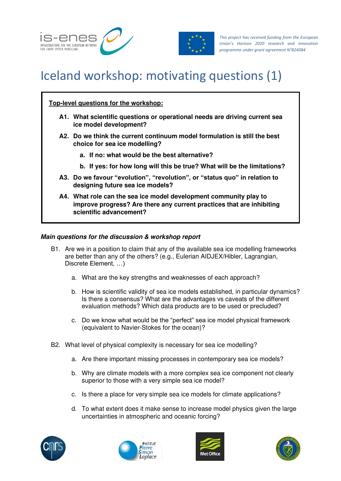



# Iceland workshop: motivating questions (1)

## **Top-level questions for the workshop:**

- **A1. What scientific questions or operational needs are driving current sea ice model development?**
- **A2. Do we think the current continuum model formulation is still the best choice for sea ice modelling?** 
	- **a. If no: what would be the best alternative?**
	- **b. If yes: for how long will this be true? What will be the limitations?**
- **A3. Do we favour "evolution", "revolution", or "status quo" in relation to designing future sea ice models?**
- **A4. What role can the sea ice model development community play to improve progress? Are there any current practices that are inhibiting scientific advancement?**

#### **Main questions for the discussion & workshop report**

- B1. Are we in a position to claim that any of the available sea ice modelling frameworks are better than any of the others? (e.g., Eulerian AIDJEX/Hibler, Lagrangian, Discrete Element, …)
	- a. What are the key strengths and weaknesses of each approach?
	- b. How is scientific validity of sea ice models established, in particular dynamics? Is there a consensus? What are the advantages vs caveats of the different evaluation methods? Which data products are to be used or precluded?
	- c. Do we know what would be the "perfect" sea ice model physical framework (equivalent to Navier-Stokes for the ocean)?
- B2. What level of physical complexity is necessary for sea ice modelling?
	- a. Are there important missing processes in contemporary sea ice models?
	- b. Why are climate models with a more complex sea ice component not clearly superior to those with a very simple sea ice model?
	- c. Is there a place for very simple sea ice models for climate applications?
	- d. To what extent does it make sense to increase model physics given the large uncertainties in atmospheric and oceanic forcing?